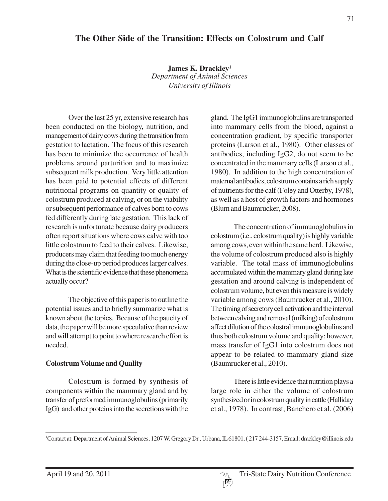# **The Other Side of the Transition: Effects on Colostrum and Calf**

**James K. Drackley1** *Department of Animal Sciences University of Illinois*

Over the last 25 yr, extensive research has been conducted on the biology, nutrition, and management of dairy cows during the transition from gestation to lactation. The focus of this research has been to minimize the occurrence of health problems around parturition and to maximize subsequent milk production. Very little attention has been paid to potential effects of different nutritional programs on quantity or quality of colostrum produced at calving, or on the viability or subsequent performance of calves born to cows fed differently during late gestation. This lack of research is unfortunate because dairy producers often report situations where cows calve with too little colostrum to feed to their calves. Likewise, producers may claim that feeding too much energy during the close-up period produces larger calves. What is the scientific evidence that these phenomena actually occur?

The objective of this paper is to outline the potential issues and to briefly summarize what is known about the topics. Because of the paucity of data, the paper will be more speculative than review and will attempt to point to where research effort is needed.

# **Colostrum Volume and Quality**

Colostrum is formed by synthesis of components within the mammary gland and by transfer of preformed immunoglobulins (primarily IgG) and other proteins into the secretions with the

gland. The IgG1 immunoglobulins are transported into mammary cells from the blood, against a concentration gradient, by specific transporter proteins (Larson et al., 1980). Other classes of antibodies, including IgG2, do not seem to be concentrated in the mammary cells (Larson et al., 1980). In addition to the high concentration of maternal antibodies, colostrum contains a rich supply of nutrients for the calf (Foley and Otterby, 1978), as well as a host of growth factors and hormones (Blum and Baumrucker, 2008).

The concentration of immunoglobulins in colostrum (i.e., colostrum quality) is highly variable among cows, even within the same herd. Likewise, the volume of colostrum produced also is highly variable. The total mass of immunoglobulins accumulated within the mammary gland during late gestation and around calving is independent of colostrum volume, but even this measure is widely variable among cows (Baumrucker et al., 2010). The timing of secretory cell activation and the interval between calving and removal (milking) of colostrum affect dilution of the colostral immunoglobulins and thus both colostrum volume and quality; however, mass transfer of IgG1 into colostrum does not appear to be related to mammary gland size (Baumrucker et al., 2010).

There is little evidence that nutrition plays a large role in either the volume of colostrum synthesized or in colostrum quality in cattle (Halliday et al., 1978). In contrast, Banchero et al. (2006)

<sup>1</sup> Contact at: Department of Animal Sciences, 1207 W. Gregory Dr., Urbana, IL 61801, ( 217 244-3157, Email: drackley@illinois.edu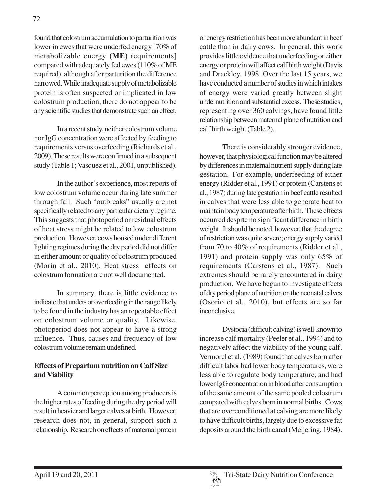found that colostrum accumulation to parturition was lower in ewes that were underfed energy [70% of metabolizable energy **(ME)** requirements] compared with adequately fed ewes (110% of ME required), although after parturition the difference narrowed. While inadequate supply of metabolizable protein is often suspected or implicated in low colostrum production, there do not appear to be any scientific studies that demonstrate such an effect.

In a recent study, neither colostrum volume nor IgG concentration were affected by feeding to requirements versus overfeeding (Richards et al., 2009). These results were confirmed in a subsequent study (Table 1; Vasquez et al., 2001, unpublished).

In the author's experience, most reports of low colostrum volume occur during late summer through fall. Such "outbreaks" usually are not specifically related to any particular dietary regime. This suggests that photoperiod or residual effects of heat stress might be related to low colostrum production. However, cows housed under different lighting regimes during the dry period did not differ in either amount or quality of colostrum produced (Morin et al., 2010). Heat stress effects on colostrum formation are not well documented.

In summary, there is little evidence to indicate that under- or overfeeding in the range likely to be found in the industry has an repeatable effect on colostrum volume or quality. Likewise, photoperiod does not appear to have a strong influence. Thus, causes and frequency of low colostrum volume remain undefined.

# **Effects of Prepartum nutrition on Calf Size and Viability**

A common perception among producers is the higher rates of feeding during the dry period will result in heavier and larger calves at birth. However, research does not, in general, support such a relationship. Research on effects of maternal protein

or energy restriction has been more abundant in beef cattle than in dairy cows. In general, this work provides little evidence that underfeeding or either energy or protein will affect calf birth weight (Davis and Drackley, 1998. Over the last 15 years, we have conducted a number of studies in which intakes of energy were varied greatly between slight undernutrition and substantial excess. These studies, representing over 360 calvings, have found little relationship between maternal plane of nutrition and calf birth weight (Table 2).

There is considerably stronger evidence, however, that physiological function may be altered by differences in maternal nutrient supply during late gestation. For example, underfeeding of either energy (Ridder et al., 1991) or protein (Carstens et al., 1987) during late gestation in beef cattle resulted in calves that were less able to generate heat to maintain body temperature after birth. These effects occurred despite no significant difference in birth weight. It should be noted, however, that the degree of restriction was quite severe; energy supply varied from 70 to 40% of requirements (Ridder et al., 1991) and protein supply was only 65% of requirements (Carstens et al., 1987). Such extremes should be rarely encountered in dairy production. We have begun to investigate effects of dry period plane of nutrition on the neonatal calves (Osorio et al., 2010), but effects are so far inconclusive.

Dystocia (difficult calving) is well-known to increase calf mortality (Peeler et al., 1994) and to negatively affect the viability of the young calf. Vermorel et al. (1989) found that calves born after difficult labor had lower body temperatures, were less able to regulate body temperature, and had lower IgG concentration in blood after consumption of the same amount of the same pooled colostrum compared with calves born in normal births. Cows that are overconditioned at calving are more likely to have difficult births, largely due to excessive fat deposits around the birth canal (Meijering, 1984).

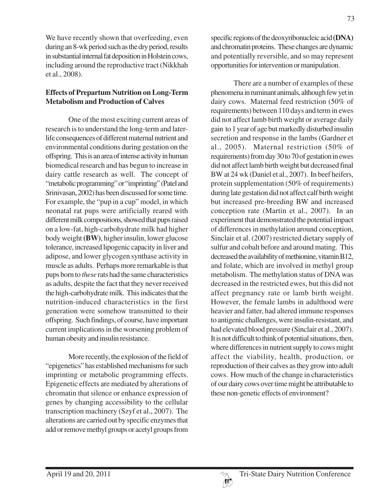We have recently shown that overfeeding, even during an 8-wk period such as the dry period, results in substantial internal fat deposition in Holstein cows, including around the reproductive tract (Nikkhah et al., 2008).

# **Effects of Prepartum Nutrition on Long-Term Metabolism and Production of Calves**

One of the most exciting current areas of research is to understand the long-term and laterlife consequences of different maternal nutrient and environmental conditions during gestation on the offspring. This is an area of intense activity in human biomedical research and has begun to increase in dairy cattle research as well. The concept of "metabolic programming" or "imprinting" (Patel and Srinivasan, 2002) has been discussed for some time. For example, the "pup in a cup" model, in which neonatal rat pups were artificially reared with different milk compositions, showed that pups raised on a low-fat, high-carbohydrate milk had higher body weight **(BW)**, higher insulin, lower glucose tolerance, increased lipogenic capacity in liver and adipose, and lower glycogen synthase activity in muscle as adults. Perhaps more remarkable is that pups born to *these* rats had the same characteristics as adults, despite the fact that they never received the high-carbohydrate milk. This indicates that the nutrition-induced characteristics in the first generation were somehow transmitted to their offspring. Such findings, of course, have important current implications in the worsening problem of human obesity and insulin resistance.

More recently, the explosion of the field of "epigenetics" has established mechanisms for such imprinting or metabolic programming effects. Epigenetic effects are mediated by alterations of chromatin that silence or enhance expression of genes by changing accessibility to the cellular transcription machinery (Szyf et al., 2007). The alterations are carried out by specific enzymes that add or remove methyl groups or acetyl groups from

specific regions of the deoxyribonucleic acid **(DNA)** and chromatin proteins. These changes are dynamic and potentially reversible, and so may represent opportunities for intervention or manipulation.

There are a number of examples of these phenomena in ruminant animals, although few yet in dairy cows. Maternal feed restriction (50% of requirements) between 110 days and term in ewes did not affect lamb birth weight or average daily gain to 1 year of age but markedly disturbed insulin secretion and response in the lambs (Gardner et al., 2005). Maternal restriction (50% of requirements) from day 30 to 70 of gestation in ewes did not affect lamb birth weight but decreased final BW at 24 wk (Daniel et al., 2007). In beef heifers, protein supplementation (50% of requirements) during late gestation did not affect calf birth weight but increased pre-breeding BW and increased conception rate (Martin et al., 2007). In an experiment that demonstrated the potential impact of differences in methylation around conception, Sinclair et al. (2007) restricted dietary supply of sulfur and cobalt before and around mating. This decreased the availability of methionine, vitamin B12, and folate, which are involved in methyl group metabolism. The methylation status of DNA was decreased in the restricted ewes, but this did not affect pregnancy rate or lamb birth weight. However, the female lambs in adulthood were heavier and fatter, had altered immune responses to antigenic challenges, were insulin-resistant, and had elevated blood pressure (Sinclair et al., 2007). It is not difficult to think of potential situations, then, where differences in nutrient supply to cows might affect the viability, health, production, or reproduction of their calves as they grow into adult cows. How much of the change in characteristics of our dairy cows over time might be attributable to these non-genetic effects of environment?

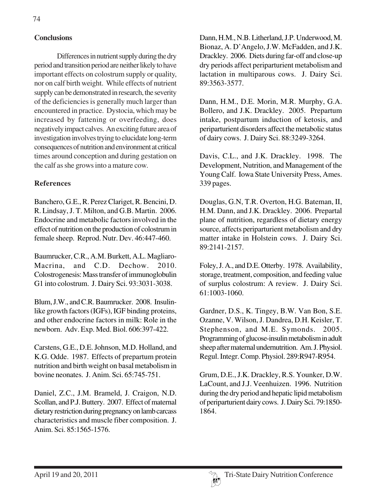# **Conclusions**

Differences in nutrient supply during the dry period and transition period are neither likely to have important effects on colostrum supply or quality, nor on calf birth weight. While effects of nutrient supply can be demonstrated in research, the severity of the deficiencies is generally much larger than encountered in practice. Dystocia, which may be increased by fattening or overfeeding, does negatively impact calves. An exciting future area of investigation involves trying to elucidate long-term consequences of nutrition and environment at critical times around conception and during gestation on the calf as she grows into a mature cow.

#### **References**

Banchero, G.E., R. Perez Clariget, R. Bencini, D. R. Lindsay, J. T. Milton, and G.B. Martin. 2006. Endocrine and metabolic factors involved in the effect of nutrition on the production of colostrum in female sheep. Reprod. Nutr. Dev. 46:447-460.

Baumrucker, C.R., A.M. Burkett, A.L. Magliaro-Macrina, and C.D. Dechow. 2010. Colostrogenesis: Mass transfer of immunoglobulin G1 into colostrum. J. Dairy Sci. 93:3031-3038.

Blum, J.W., and C.R. Baumrucker. 2008. Insulinlike growth factors (IGFs), IGF binding proteins, and other endocrine factors in milk: Role in the newborn. Adv. Exp. Med. Biol. 606:397-422.

Carstens, G.E., D.E. Johnson, M.D. Holland, and K.G. Odde. 1987. Effects of prepartum protein nutrition and birth weight on basal metabolism in bovine neonates. J. Anim. Sci. 65:745-751.

Daniel, Z.C., J.M. Brameld, J. Craigon, N.D. Scollan, and P.J. Buttery. 2007. Effect of maternal dietary restriction during pregnancy on lamb carcass characteristics and muscle fiber composition. J. Anim. Sci. 85:1565-1576.

Dann, H.M., N.B. Litherland, J.P. Underwood, M. Bionaz, A. D'Angelo, J.W. McFadden, and J.K. Drackley. 2006. Diets during far-off and close-up dry periods affect periparturient metabolism and lactation in multiparous cows. J. Dairy Sci. 89:3563-3577.

Dann, H.M., D.E. Morin, M.R. Murphy, G.A. Bollero, and J.K. Drackley. 2005. Prepartum intake, postpartum induction of ketosis, and periparturient disorders affect the metabolic status of dairy cows. J. Dairy Sci. 88:3249-3264.

Davis, C.L., and J.K. Drackley. 1998. The Development, Nutrition, and Management of the Young Calf. Iowa State University Press, Ames. 339 pages.

Douglas, G.N, T.R. Overton, H.G. Bateman, II, H.M. Dann, and J.K. Drackley. 2006. Prepartal plane of nutrition, regardless of dietary energy source, affects periparturient metabolism and dry matter intake in Holstein cows. J. Dairy Sci. 89:2141-2157.

Foley, J. A., and D.E. Otterby. 1978. Availability, storage, treatment, composition, and feeding value of surplus colostrum: A review. J. Dairy Sci. 61:1003-1060.

Gardner, D.S., K. Tingey, B.W. Van Bon, S.E. Ozanne, V. Wilson, J. Dandrea, D.H. Keisler, T. Stephenson, and M.E. Symonds. 2005. Programming of glucose-insulin metabolism in adult sheep after maternal undernutrition. Am. J. Physiol. Regul. Integr. Comp. Physiol. 289:R947-R954.

Grum, D.E., J.K. Drackley, R.S. Younker, D.W. LaCount, and J.J. Veenhuizen. 1996. Nutrition during the dry period and hepatic lipid metabolism of periparturient dairy cows. J. Dairy Sci. 79:1850- 1864.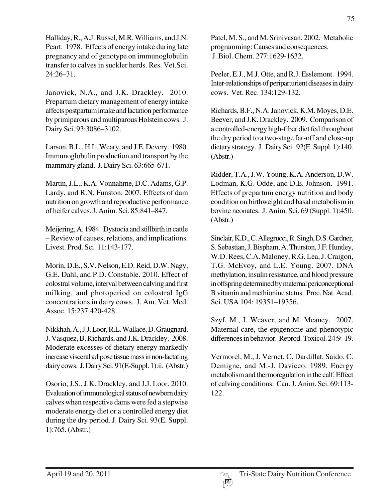Halliday, R., A.J. Russel, M.R. Williams, and J.N. Peart. 1978. Effects of energy intake during late pregnancy and of genotype on immunoglobulin transfer to calves in suckler herds. Res. Vet.Sci. 24:26–31.

Janovick, N.A., and J.K. Drackley. 2010. Prepartum dietary management of energy intake affects postpartum intake and lactation performance by primiparous and multiparous Holstein cows. J. Dairy Sci. 93:3086–3102.

Larson, B.L., H.L. Weary, and J.E. Devery. 1980. Immunoglobulin production and transport by the mammary gland. J. Dairy Sci. 63:665-671.

Martin, J.L., K.A. Vonnahme, D.C. Adams, G.P. Lardy, and R.N. Funston. 2007. Effects of dam nutrition on growth and reproductive performance of heifer calves. J. Anim. Sci. 85:841–847.

Meijering, A. 1984. Dystocia and stillbirth in cattle – Review of causes, relations, and implications. Livest. Prod. Sci. 11:143-177.

Morin, D.E., S.V. Nelson, E.D. Reid, D.W. Nagy, G.E. Dahl, and P.D. Constable. 2010. Effect of colostral volume, interval between calving and first milking, and photoperiod on colostral IgG concentrations in dairy cows. J. Am. Vet. Med. Assoc. 15:237:420-428.

Nikkhah, A., J.J. Loor, R.L. Wallace, D. Graugnard, J. Vasquez, B. Richards, and J.K. Drackley. 2008. Moderate excesses of dietary energy markedly increase visceral adipose tissue mass in non-lactating dairy cows. J. Dairy Sci. 91(E-Suppl. 1):ii. (Abstr.)

Osorio, J.S., J.K. Drackley, and J.J. Loor. 2010. Evaluation of immunological status of newborn dairy calves when respective dams were fed a stepwise moderate energy diet or a controlled energy diet during the dry period. J. Dairy Sci. 93(E. Suppl. 1):765. (Abstr.)

Patel, M. S., and M. Srinivasan. 2002. Metabolic programming: Causes and consequences. J. Biol. Chem. 277:1629-1632.

Peeler, E.J., M.J. Otte, and R.J. Esslemont. 1994. Inter-relationships of periparturient diseases in dairy cows. Vet. Rec. 134:129-132.

Richards, B.F., N.A. Janovick, K.M. Moyes, D.E. Beever, and J.K. Drackley. 2009. Comparison of a controlled-energy high-fiber diet fed throughout the dry period to a two-stage far-off and close-up dietary strategy. J. Dairy Sci. 92(E. Suppl. 1):140. (Abstr.)

Ridder, T.A., J.W. Young, K.A. Anderson, D.W. Lodman, K.G. Odde, and D.E. Johnson. 1991. Effects of prepartum energy nutrition and body condition on birthweight and basal metabolism in bovine neonates. J. Anim. Sci. 69 (Suppl. 1):450. (Abstr.)

Sinclair, K.D., C. Allegrucci, R. Singh, D.S. Gardner, S. Sebastian, J. Bispham, A. Thurston, J.F. Huntley, W.D. Rees, C.A. Maloney, R.G. Lea, J. Craigon, T.G. McEvoy, and L.E. Young. 2007. DNA methylation, insulin resistance, and blood pressure in offspring determined by maternal periconceptional B vitamin and methionine status. Proc. Nat. Acad. Sci. USA 104: 19351–19356.

Szyf, M., I. Weaver, and M. Meaney. 2007. Maternal care, the epigenome and phenotypic differences in behavior. Reprod. Toxicol. 24:9–19.

Vermorel, M., J. Vernet, C. Dardillat, Saido, C. Demigne, and M.-J. Davicco. 1989. Energy metabolism and thermoregulation in the calf: Effect of calving conditions. Can. J. Anim. Sci. 69:113- 122.

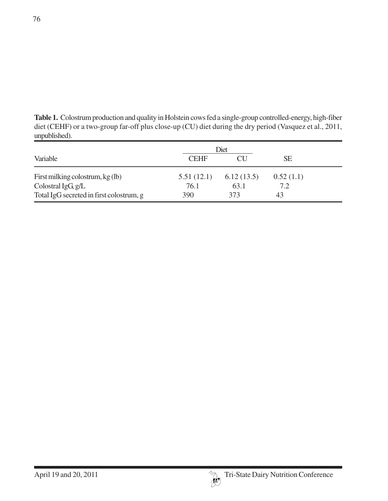**Table 1.** Colostrum production and quality in Holstein cows fed a single-group controlled-energy, high-fiber diet (CEHF) or a two-group far-off plus close-up (CU) diet during the dry period (Vasquez et al., 2011, unpublished).

|                                          | Diet        |                          |           |
|------------------------------------------|-------------|--------------------------|-----------|
| Variable                                 | <b>CEHF</b> | $\overline{\text{CI}}$ . | <b>SE</b> |
| First milking colostrum, kg (lb)         | 5.51(12.1)  | 6.12(13.5)               | 0.52(1.1) |
| Colostral $IgG, g/L$                     | 76.1        | 63.1                     | 7.2       |
| Total IgG secreted in first colostrum, g | 390         | 373                      | 43        |